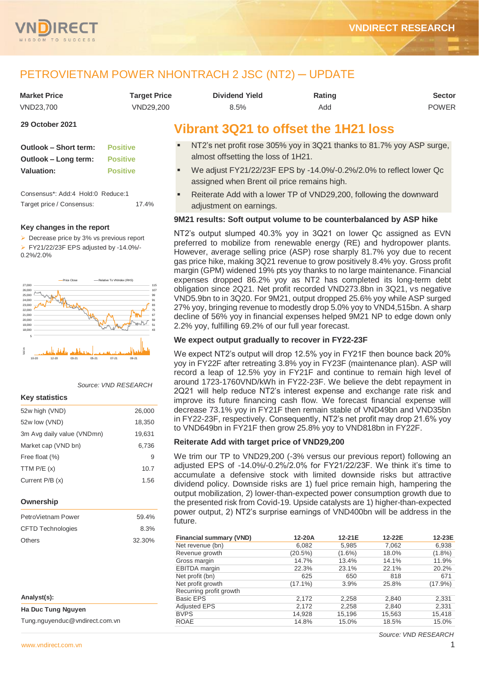

# PETROVIETNAM POWER NHONTRACH 2 JSC (NT2) ─ UPDATE

| <b>Market Price</b> | <b>Target Price</b> | <b>Dividend Yield</b> | <b>Rating</b> | <b>Sector</b> |
|---------------------|---------------------|-----------------------|---------------|---------------|
| VND23.700           | VND29.200           | 8.5%                  | Add           | <b>POWER</b>  |

# **29 October 2021**

| Outlook – Short term: | <b>Positive</b> |
|-----------------------|-----------------|
| Outlook – Long term:  | <b>Positive</b> |
| <b>Valuation:</b>     | <b>Positive</b> |

Consensus\*: Add:4 Hold:0 Reduce:1 Target price / Consensus: 17.4%

## **Key changes in the report**

 $\triangleright$  Decrease price by 3% vs previous report FY21/22/23F EPS adjusted by -14.0%/-

0.2%/2.0%



*Source: VND RESEARCH*

### **Key statistics**

| 52w high (VND)             | 26,000 |
|----------------------------|--------|
| 52w low (VND)              | 18,350 |
| 3m Avg daily value (VNDmn) | 19,631 |
| Market cap (VND bn)        | 6.736  |
| Free float (%)             | 9      |
| TTM $P/E(x)$               | 10.7   |
| Current P/B (x)            | 1.56   |

# **Ownership**

| PetroVietnam Power       | 59.4%  |
|--------------------------|--------|
| <b>CFTD Technologies</b> | 8.3%   |
| Others                   | 32.30% |

| Analyst(s):                    |
|--------------------------------|
| Ha Duc Tung Nguyen             |
| Tung.nguyenduc@vndirect.com.vn |

# **Vibrant 3Q21 to offset the 1H21 loss**

- NT2's net profit rose 305% yoy in 3Q21 thanks to 81.7% yoy ASP surge, almost offsetting the loss of 1H21.
- We adjust FY21/22/23F EPS by -14.0%/-0.2%/2.0% to reflect lower Qc assigned when Brent oil price remains high.
- Reiterate Add with a lower TP of VND29,200, following the downward adjustment on earnings.

# **9M21 results: Soft output volume to be counterbalanced by ASP hike**

NT2's output slumped 40.3% yoy in 3Q21 on lower Qc assigned as EVN preferred to mobilize from renewable energy (RE) and hydropower plants. However, average selling price (ASP) rose sharply 81.7% yoy due to recent gas price hike, making 3Q21 revenue to grow positively 8.4% yoy. Gross profit margin (GPM) widened 19% pts yoy thanks to no large maintenance. Financial expenses dropped 86.2% yoy as NT2 has completed its long-term debt obligation since 2Q21. Net profit recorded VND273.8bn in 3Q21, vs negative VND5.9bn to in 3Q20. For 9M21, output dropped 25.6% yoy while ASP surged 27% yoy, bringing revenue to modestly drop 5.0% yoy to VND4,515bn. A sharp decline of 56% yoy in financial expenses helped 9M21 NP to edge down only 2.2% yoy, fulfilling 69.2% of our full year forecast.

# **We expect output gradually to recover in FY22-23F**

We expect NT2's output will drop 12.5% yoy in FY21F then bounce back 20% yoy in FY22F after retreating 3.8% yoy in FY23F (maintenance plan). ASP will record a leap of 12.5% yoy in FY21F and continue to remain high level of around 1723-1760VND/kWh in FY22-23F. We believe the debt repayment in 2Q21 will help reduce NT2's interest expense and exchange rate risk and improve its future financing cash flow. We forecast financial expense will decrease 73.1% yoy in FY21F then remain stable of VND49bn and VND35bn in FY22-23F, respectively. Consequently, NT2's net profit may drop 21.6% yoy to VND649bn in FY21F then grow 25.8% yoy to VND818bn in FY22F.

# **Reiterate Add with target price of VND29,200**

We trim our TP to VND29,200 (-3% versus our previous report) following an adjusted EPS of -14.0%/-0.2%/2.0% for FY21/22/23F. We think it's time to accumulate a defensive stock with limited downside risks but attractive dividend policy. Downside risks are 1) fuel price remain high, hampering the output mobilization, 2) lower-than-expected power consumption growth due to the presented risk from Covid-19. Upside catalysts are 1) higher-than-expected power output, 2) NT2's surprise earnings of VND400bn will be address in the future.

| <b>Financial summary (VND)</b> | 12-20A     | 12-21E    | 12-22E | 12-23E     |
|--------------------------------|------------|-----------|--------|------------|
| Net revenue (bn)               | 6.082      | 5,985     | 7,062  | 6,938      |
| Revenue growth                 | (20.5%)    | $(1.6\%)$ | 18.0%  | $(1.8\%)$  |
| Gross margin                   | 14.7%      | 13.4%     | 14.1%  | 11.9%      |
| <b>EBITDA</b> margin           | 22.3%      | 23.1%     | 22.1%  | 20.2%      |
| Net profit (bn)                | 625        | 650       | 818    | 671        |
| Net profit growth              | $(17.1\%)$ | 3.9%      | 25.8%  | $(17.9\%)$ |
| Recurring profit growth        |            |           |        |            |
| <b>Basic EPS</b>               | 2,172      | 2,258     | 2,840  | 2,331      |
| <b>Adjusted EPS</b>            | 2,172      | 2,258     | 2,840  | 2,331      |
| <b>BVPS</b>                    | 14,928     | 15,196    | 15,563 | 15,418     |
| <b>ROAE</b>                    | 14.8%      | 15.0%     | 18.5%  | 15.0%      |

*Source: VND RESEARCH*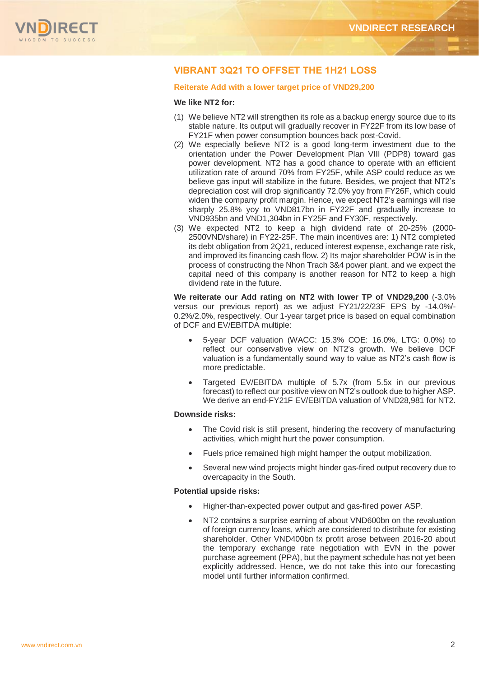

# **VIBRANT 3Q21 TO OFFSET THE 1H21 LOSS**

# **Reiterate Add with a lower target price of VND29,200**

# **We like NT2 for:**

- (1) We believe NT2 will strengthen its role as a backup energy source due to its stable nature. Its output will gradually recover in FY22F from its low base of FY21F when power consumption bounces back post-Covid.
- (2) We especially believe NT2 is a good long-term investment due to the orientation under the Power Development Plan VIII (PDP8) toward gas power development. NT2 has a good chance to operate with an efficient utilization rate of around 70% from FY25F, while ASP could reduce as we believe gas input will stabilize in the future. Besides, we project that NT2's depreciation cost will drop significantly 72.0% yoy from FY26F, which could widen the company profit margin. Hence, we expect NT2's earnings will rise sharply 25.8% yoy to VND817bn in FY22F and gradually increase to VND935bn and VND1,304bn in FY25F and FY30F, respectively.
- (3) We expected NT2 to keep a high dividend rate of 20-25% (2000- 2500VND/share) in FY22-25F. The main incentives are: 1) NT2 completed its debt obligation from 2Q21, reduced interest expense, exchange rate risk, and improved its financing cash flow. 2) Its major shareholder POW is in the process of constructing the Nhon Trach 3&4 power plant, and we expect the capital need of this company is another reason for NT2 to keep a high dividend rate in the future.

**We reiterate our Add rating on NT2 with lower TP of VND29,200** (-3.0% versus our previous report) as we adjust FY21/22/23F EPS by -14.0%/- 0.2%/2.0%, respectively. Our 1-year target price is based on equal combination of DCF and EV/EBITDA multiple:

- 5-year DCF valuation (WACC: 15.3% COE: 16.0%, LTG: 0.0%) to reflect our conservative view on NT2's growth. We believe DCF valuation is a fundamentally sound way to value as NT2's cash flow is more predictable.
- Targeted EV/EBITDA multiple of 5.7x (from 5.5x in our previous forecast) to reflect our positive view on NT2's outlook due to higher ASP. We derive an end-FY21F EV/EBITDA valuation of VND28,981 for NT2.

# **Downside risks:**

- The Covid risk is still present, hindering the recovery of manufacturing activities, which might hurt the power consumption.
- Fuels price remained high might hamper the output mobilization.
- Several new wind projects might hinder gas-fired output recovery due to overcapacity in the South.

### **Potential upside risks:**

- Higher-than-expected power output and gas-fired power ASP.
- NT2 contains a surprise earning of about VND600bn on the revaluation of foreign currency loans, which are considered to distribute for existing shareholder. Other VND400bn fx profit arose between 2016-20 about the temporary exchange rate negotiation with EVN in the power purchase agreement (PPA), but the payment schedule has not yet been explicitly addressed. Hence, we do not take this into our forecasting model until further information confirmed.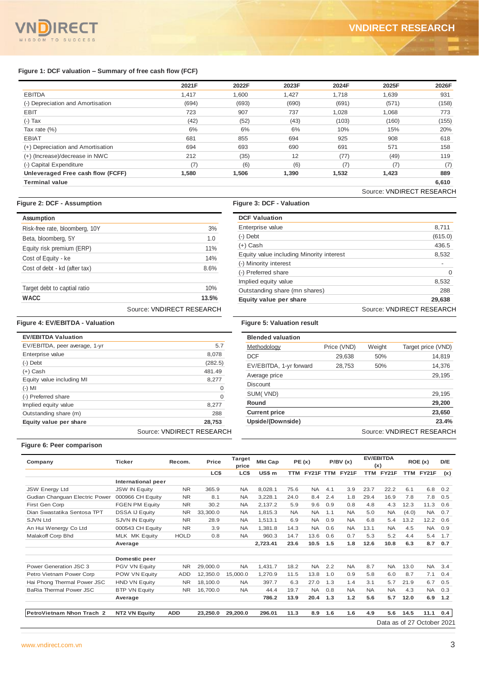# **Figure 1: DCF valuation – Summary of free cash flow (FCF)**

| 2021F | 2022F | 2023F | 2024F | 2025F | 2026F |
|-------|-------|-------|-------|-------|-------|
| 1,417 | 1.600 | 1,427 | 1,718 | 1,639 | 931   |
| (694) | (693) | (690) | (691) | (571) | (158) |
| 723   | 907   | 737   | 1,028 | 1,068 | 773   |
| (42)  | (52)  | (43)  | (103) | (160) | (155) |
| 6%    | 6%    | 6%    | 10%   | 15%   | 20%   |
| 681   | 855   | 694   | 925   | 908   | 618   |
| 694   | 693   | 690   | 691   | 571   | 158   |
| 212   | (35)  | 12    | (77)  | (49)  | 119   |
| (7)   | (6)   | (6)   | (7)   | (7)   | (7)   |
| 1,580 | 1,506 | 1,390 | 1,532 | 1,423 | 889   |
|       |       |       |       |       | 6,610 |
|       |       |       |       |       |       |

# **Figure 2: DCF - Assumption Figure 3: DCF - Valuation**

|                                | Source: VNDIRECT RESEARCH |
|--------------------------------|---------------------------|
| <b>WACC</b>                    | 13.5%                     |
| Target debt to captial ratio   | 10%                       |
| Cost of debt - kd (after tax)  | 8.6%                      |
| Cost of Equity - ke            | 14%                       |
| Equity risk premium (ERP)      | 11%                       |
| Beta, bloomberg, 5Y            | 1.0                       |
| Risk-free rate, bloomberg, 10Y | 3%                        |
| Assumption                     |                           |

| <b>DCF Valuation</b>                     |                           |
|------------------------------------------|---------------------------|
| Enterprise value                         | 8,711                     |
| $(-)$ Debt                               | (615.0)                   |
| $(+)$ Cash                               | 436.5                     |
| Equity value including Minority interest | 8,532                     |
| (-) Minority interest                    |                           |
| (-) Preferred share                      | O                         |
| Implied equity value                     | 8,532                     |
| Outstanding share (mn shares)            | 288                       |
| Equity value per share                   | 29.638                    |
|                                          | Source: VNDIRECT RESEARCH |

# **Figure 4: EV/EBITDA - Valuation Figure 5: Valuation result**

| <b>EV/EBITDA Valuation</b>    |                           |
|-------------------------------|---------------------------|
| EV/EBITDA, peer average, 1-yr | 5.7                       |
| Enterprise value              | 8,078                     |
| $(-)$ Debt                    | (282.5)                   |
| $(+)$ Cash                    | 481.49                    |
| Equity value including MI     | 8,277                     |
| $(-)$ MI                      |                           |
| (-) Preferred share           | $\Omega$                  |
| Implied equity value          | 8.277                     |
| Outstanding share (m)         | 288                       |
| Equity value per share        | 28.753                    |
|                               | Source: VNDIRECT RESEARCH |

| <b>Blended valuation</b> |             |        |                           |
|--------------------------|-------------|--------|---------------------------|
| Methodology              | Price (VND) | Weight | Target price (VND)        |
| <b>DCF</b>               | 29,638      | 50%    | 14,819                    |
| EV/EBITDA, 1-yr forward  | 28,753      | 50%    | 14,376                    |
| Average price            |             |        | 29,195                    |
| <b>Discount</b>          |             |        |                           |
| SUM(VND)                 |             |        | 29,195                    |
| Round                    |             |        | 29,200                    |
| <b>Current price</b>     |             |        | 23,650                    |
| Upside/(Downside)        |             |        | 23.4%                     |
|                          |             |        | Source: VNDIRECT RESEARCH |

# **Figure 6: Peer comparison**

|                                                |                                         | 2021F                  |                  | 2022F                  |                                          | 2023F            |            |            | 2024F                  |            | 2025F                   |               |                                    | 2026F      |
|------------------------------------------------|-----------------------------------------|------------------------|------------------|------------------------|------------------------------------------|------------------|------------|------------|------------------------|------------|-------------------------|---------------|------------------------------------|------------|
| <b>EBITDA</b>                                  |                                         | 1,417                  |                  | 1,600                  |                                          | 1,427            |            |            | 1,718                  |            | 1,639                   |               |                                    | 931        |
| (-) Depreciation and Amortisation              |                                         | (694)                  |                  | (693)                  |                                          | (690)            |            |            | (691)                  |            | (571)                   |               |                                    | (158)      |
| <b>EBIT</b>                                    |                                         | 723                    |                  | 907                    |                                          | 737              |            |            | 1,028                  |            | 1,068                   |               |                                    | 773        |
| $(-)$ Tax                                      |                                         | (42)                   |                  | (52)                   |                                          | (43)             |            |            | (103)                  |            | (160)                   |               |                                    | (155)      |
| Tax rate (%)                                   |                                         | 6%                     |                  | 6%                     |                                          | 6%               |            |            | 10%                    |            | 15%                     |               |                                    | 20%        |
| <b>EBIAT</b>                                   |                                         | 681                    |                  | 855                    |                                          | 694              |            |            | 925                    |            | 908                     |               |                                    | 618        |
| (+) Depreciation and Amortisation              |                                         | 694                    |                  | 693                    |                                          | 690              |            |            | 691                    |            | 571                     |               |                                    | 158        |
| (+) (Increase)/decrease in NWC                 |                                         | 212                    |                  | (35)                   |                                          | 12               |            |            | (77)                   |            | (49)                    |               |                                    | 119        |
| (-) Capital Expenditure                        |                                         |                        | (7)              | (6)                    |                                          | (6)              |            |            | (7)                    |            | (7)                     |               |                                    | (7)        |
| Unleveraged Free cash flow (FCFF)              |                                         | 1,580                  |                  | 1,506                  |                                          | 1,390            |            |            | 1,532                  |            | 1,423                   |               |                                    | 889        |
| <b>Terminal value</b>                          |                                         |                        |                  |                        |                                          |                  |            |            |                        |            |                         |               |                                    | 6,610      |
|                                                |                                         |                        |                  |                        |                                          |                  |            |            |                        |            |                         |               | Source: VNDIRECT RESEARCH          |            |
| gure 2: DCF - Assumption                       |                                         |                        |                  |                        | Figure 3: DCF - Valuation                |                  |            |            |                        |            |                         |               |                                    |            |
| Assumption                                     |                                         |                        |                  |                        | <b>DCF Valuation</b>                     |                  |            |            |                        |            |                         |               |                                    |            |
| Risk-free rate, bloomberg, 10Y                 |                                         |                        | 3%               |                        | Enterprise value                         |                  |            |            |                        |            |                         |               |                                    | 8,711      |
| Beta, bloomberg, 5Y                            |                                         |                        | 1.0              | $(-)$ Debt             |                                          |                  |            |            |                        |            |                         |               |                                    | (615.0)    |
|                                                |                                         |                        |                  | $(+)$ Cash             |                                          |                  |            |            |                        |            |                         |               |                                    | 436.5      |
| Equity risk premium (ERP)                      |                                         |                        | 11%              |                        | Equity value including Minority interest |                  |            |            |                        |            |                         |               |                                    | 8,532      |
| Cost of Equity - ke                            |                                         |                        | 14%              |                        | (-) Minority interest                    |                  |            |            |                        |            |                         |               |                                    |            |
| Cost of debt - kd (after tax)                  |                                         |                        | 8.6%             |                        | (-) Preferred share                      |                  |            |            |                        |            |                         |               |                                    | 0          |
|                                                |                                         |                        |                  |                        | Implied equity value                     |                  |            |            |                        |            |                         |               |                                    | 8,532      |
| Target debt to captial ratio                   |                                         |                        | 10%              |                        | Outstanding share (mn shares)            |                  |            |            |                        |            |                         |               |                                    | 288        |
| <b>WACC</b>                                    |                                         |                        | 13.5%            |                        | Equity value per share                   |                  |            |            |                        |            |                         |               |                                    | 29,638     |
|                                                |                                         |                        |                  |                        |                                          |                  |            |            |                        |            |                         |               |                                    |            |
|                                                | Source: VNDIRECT RESEARCH               |                        |                  |                        |                                          |                  |            |            |                        |            |                         |               | Source: VNDIRECT RESEARCH          |            |
| gure 4: EV/EBITDA - Valuation                  |                                         |                        |                  |                        | <b>Figure 5: Valuation result</b>        |                  |            |            |                        |            |                         |               |                                    |            |
| <b>EV/EBITDA Valuation</b>                     |                                         |                        |                  |                        | <b>Blended valuation</b>                 |                  |            |            |                        |            |                         |               |                                    |            |
| EV/EBITDA, peer average, 1-yr                  |                                         |                        | 5.7              |                        | Methodology                              |                  |            |            | Price (VND)            | Weight     |                         |               | Target price (VND)                 |            |
| Enterprise value                               |                                         |                        | 8,078            |                        | <b>DCF</b>                               |                  |            |            | 29,638                 |            | 50%                     |               |                                    | 14,819     |
| (-) Debt                                       |                                         |                        | (282.5)          |                        | EV/EBITDA, 1-yr forward                  |                  |            |            | 28,753                 |            | 50%                     |               |                                    | 14,376     |
| (+) Cash                                       |                                         |                        | 481.49           |                        |                                          |                  |            |            |                        |            |                         |               |                                    |            |
| Equity value including MI                      |                                         |                        | 8,277            |                        | Average price                            |                  |            |            |                        |            |                         |               |                                    | 29,195     |
| (-) MI                                         |                                         |                        | 0                |                        | <b>Discount</b>                          |                  |            |            |                        |            |                         |               |                                    |            |
| (-) Preferred share                            |                                         |                        | $\mathbf 0$      |                        | SUM(VND)                                 |                  |            |            |                        |            |                         |               |                                    | 29,195     |
| Implied equity value                           |                                         |                        | 8,277            |                        | Round                                    |                  |            |            |                        |            |                         |               |                                    | 29,200     |
| Outstanding share (m)                          |                                         |                        | 288              |                        | <b>Current price</b>                     |                  |            |            |                        |            |                         |               |                                    | 23,650     |
| <b>Equity value per share</b>                  |                                         |                        | 28,753           |                        | Upside/(Downside)                        |                  |            |            |                        |            |                         |               |                                    | 23.4%      |
|                                                | Source: VNDIRECT RESEARCH               |                        |                  |                        |                                          |                  |            |            |                        |            |                         |               | Source: VNDIRECT RESEARCH          |            |
| Figure 6: Peer comparison                      |                                         |                        |                  |                        |                                          |                  |            |            |                        |            |                         |               |                                    |            |
| Company                                        | <b>Ticker</b>                           | Recom.                 | Price            | <b>Target</b><br>price | <b>Mkt Cap</b>                           |                  | PE(x)      |            | P/BV(x)                |            | <b>EV/EBITDA</b><br>(x) |               | ROE(x)                             | D/E        |
|                                                |                                         |                        | LC\$             | LC\$                   | US\$m                                    |                  |            |            | TTM FY21F TTM FY21F    |            | TTM FY21F               |               | TTM FY21F                          | (x)        |
|                                                | International peer                      |                        |                  |                        |                                          |                  |            |            |                        |            |                         |               |                                    |            |
| <b>JSW Energy Ltd</b>                          | JSW IN Equity                           | <b>NR</b>              | 365.9            | <b>NA</b>              | 8,028.1                                  | 75.6             | <b>NA</b>  | 4.1        | 3.9                    | 23.7       | 22.2                    | 6.1           | 6.8                                | 0.2        |
| Gudian Changuan Electric Power                 | 000966 CH Equity                        | <b>NR</b>              | 8.1              | <b>NA</b>              | 3,228.1                                  | 24.0             | 8.4        | 2.4        | 1.8                    | 29.4       | 16.9                    | 7.8           | 7.8                                | 0.5        |
| First Gen Corp                                 | <b>FGEN PM Equity</b>                   | NR.                    | 30.2             | NA                     | 2,137.2                                  | 5.9              | 9.6        | 0.9        | 0.8                    | 4.8        | 4.3                     | 12.3          | 11.3                               | 0.6        |
| Dian Swastatika Sentosa TPT<br><b>SJVN Ltd</b> | <b>DSSA IJ Equity</b><br>SJVN IN Equity | <b>NR</b><br><b>NR</b> | 33,300.0<br>28.9 | <b>NA</b><br><b>NA</b> | 1,815.3<br>1,513.1                       | <b>NA</b><br>6.9 | NA.<br>NA. | 1.1<br>0.9 | <b>NA</b><br><b>NA</b> | 5.0<br>6.8 | <b>NA</b><br>5.4        | (4.0)<br>13.2 | NA<br>12.2                         | 0.7<br>0.6 |
| An Hui Wenergy Co Ltd                          | 000543 CH Equity                        | <b>NR</b>              | 3.9              | <b>NA</b>              | 1,381.8                                  | 14.3             | <b>NA</b>  | 0.6        | <b>NA</b>              | 13.1       | <b>NA</b>               | 4.5           | <b>NA</b>                          | 0.9        |
| Malakoff Corp Bhd                              | MLK MK Equity                           | <b>HOLD</b>            | 0.8              | NA                     | 960.3                                    | 14.7             | 13.6       | 0.6        | 0.7                    | 5.3        | 5.2                     | 4.4           | 5.4                                | 1.7        |
|                                                | Average                                 |                        |                  |                        | 2,723.41                                 | 23.6             | 10.5       | 1.5        | 1.8                    | 12.6       | 10.8                    | 6.3           | 8.7                                | 0.7        |
|                                                | Domestic peer                           |                        |                  |                        |                                          |                  |            |            |                        |            |                         |               |                                    |            |
| Power Generation JSC 3                         | <b>PGV VN Equity</b>                    | <b>NR</b>              | 29,000.0         | <b>NA</b>              | 1,431.7                                  | 18.2             | <b>NA</b>  | 2.2        | <b>NA</b>              | 8.7        | <b>NA</b>               | 13.0          | <b>NA</b>                          | 3.4        |
| Petro Vietnam Power Corp                       | <b>POW VN Equity</b>                    | ADD                    | 12,350.0         | 15,000.0               | 1,270.9                                  | 11.5             | 13.8       | 1.0        | 0.9                    | 5.8        | 6.0                     | 8.7           | 7.1                                | 0.4        |
| Hai Phong Thermal Power JSC                    | HND VN Equity                           | <b>NR</b>              | 18,100.0         | NA                     | 397.7                                    | 6.3              | 27.0       | 1.3        | 1.4                    | 3.1        | 5.7                     | 21.9          | 6.7                                | 0.5        |
| BaRia Thermal Power JSC                        | <b>BTP VN Equity</b>                    | <b>NR</b>              | 16,700.0         | <b>NA</b>              | 44.4                                     | 19.7             | <b>NA</b>  | 0.8        | <b>NA</b>              | NA         | <b>NA</b>               | 4.3           | NA                                 | 0.3        |
|                                                | Average                                 |                        |                  |                        | 786.2                                    | 13.9             | 20.4       | 1.3        | $1.2$                  | 5.6        | 5.7                     | 12.0          | 6.9                                | $1.2$      |
|                                                |                                         |                        |                  |                        |                                          |                  |            |            |                        |            |                         |               |                                    |            |
| PetroVietnam Nhon Trach 2                      | <b>NT2 VN Equity</b>                    | <b>ADD</b>             | 23,250.0         | 29,200.0               | 296.01                                   | 11.3             | 8.9        | 1.6        | 1.6                    | 4.9        | 5.6                     | 14.5          | 11.1<br>Data as of 27 October 2021 | 0.4        |
|                                                |                                         |                        |                  |                        |                                          |                  |            |            |                        |            |                         |               |                                    |            |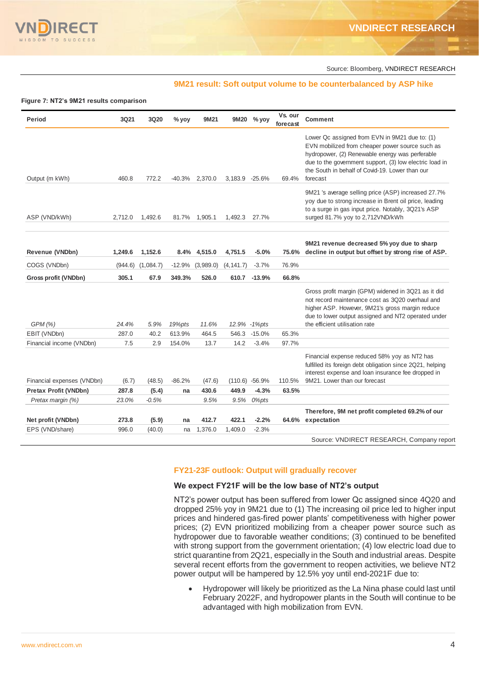

Source: Bloomberg, VNDIRECT RESEARCH

# **9M21 result: Soft output volume to be counterbalanced by ASP hike**

#### **Figure 7: NT2's 9M21 results comparison**

| Period                                            | 3Q21           | 3Q20             | $%$ yoy  | 9M21          | <b>9M20</b>    | $%$ yov          | Vs. our<br>forecast | <b>Comment</b>                                                                                                                                                                                                                                                                 |
|---------------------------------------------------|----------------|------------------|----------|---------------|----------------|------------------|---------------------|--------------------------------------------------------------------------------------------------------------------------------------------------------------------------------------------------------------------------------------------------------------------------------|
| Output (m kWh)                                    | 460.8          | 772.2            | -40.3%   | 2,370.0       | 3,183.9 -25.6% |                  | 69.4%               | Lower Qc assigned from EVN in 9M21 due to: (1)<br>EVN mobilized from cheaper power source such as<br>hydropower, (2) Renewable energy was perferable<br>due to the government support, (3) low electric load in<br>the South in behalf of Covid-19. Lower than our<br>forecast |
| ASP (VND/kWh)                                     | 2,712.0        | 1,492.6          | 81.7%    | 1,905.1       | 1,492.3        | 27.7%            |                     | 9M21 's average selling price (ASP) increased 27.7%<br>yoy due to strong increase in Brent oil price, leading<br>to a surge in gas input price. Notably, 3Q21's ASP<br>surged 81.7% yoy to 2,712VND/kWh                                                                        |
| Revenue (VNDbn)                                   | 1,249.6        | 1,152.6          |          | 8.4% 4,515.0  | 4,751.5        | $-5.0%$          | 75.6%               | 9M21 revenue decreased 5% yoy due to sharp<br>decline in output but offset by strong rise of ASP.                                                                                                                                                                              |
| COGS (VNDbn)                                      | (944.6)        | (1,084.7)        | $-12.9%$ | (3,989.0)     | (4, 141.7)     | $-3.7%$          | 76.9%               |                                                                                                                                                                                                                                                                                |
| Gross profit (VNDbn)                              | 305.1          | 67.9             | 349.3%   | 526.0         | 610.7          | $-13.9%$         | 66.8%               |                                                                                                                                                                                                                                                                                |
| GPM (%)                                           | 24.4%          | 5.9%             | 19%pts   | 11.6%         |                | 12.9% -1%pts     |                     | Gross profit margin (GPM) widened in 3Q21 as it did<br>not record maintenance cost as 3Q20 overhaul and<br>higher ASP. However, 9M21's gross margin reduce<br>due to lower output assigned and NT2 operated under<br>the efficient utilisation rate                            |
| EBIT (VNDbn)                                      | 287.0          | 40.2             | 613.9%   | 464.5         | 546.3          | $-15.0%$         | 65.3%               |                                                                                                                                                                                                                                                                                |
| Financial income (VNDbn)                          | 7.5            | 2.9              | 154.0%   | 13.7          | 14.2           | $-3.4%$          | 97.7%               |                                                                                                                                                                                                                                                                                |
|                                                   |                |                  |          |               |                |                  |                     | Financial expense reduced 58% yoy as NT2 has<br>fulfilled its foreign debt obligation since 2Q21, helping<br>interest expense and loan insurance fee dropped in                                                                                                                |
| Financial expenses (VNDbn)                        | (6.7)          | (48.5)           | $-86.2%$ | (47.6)        |                | $(110.6) -56.9%$ | 110.5%              | 9M21. Lower than our forecast                                                                                                                                                                                                                                                  |
| <b>Pretax Profit (VNDbn)</b><br>Pretax margin (%) | 287.8<br>23.0% | (5.4)<br>$-0.5%$ | na       | 430.6<br>9.5% | 449.9<br>9.5%  | $-4.3%$<br>0%pts | 63.5%               |                                                                                                                                                                                                                                                                                |
|                                                   |                |                  |          |               |                |                  |                     | Therefore, 9M net profit completed 69.2% of our                                                                                                                                                                                                                                |
| Net profit (VNDbn)                                | 273.8          | (5.9)            | na       | 412.7         | 422.1          | $-2.2%$          | 64.6%               | expectation                                                                                                                                                                                                                                                                    |
| EPS (VND/share)                                   | 996.0          | (40.0)           | na       | 1,376.0       | 1,409.0        | $-2.3%$          |                     |                                                                                                                                                                                                                                                                                |
|                                                   |                |                  |          |               |                |                  |                     | Source: VNDIRECT RESEARCH, Company report                                                                                                                                                                                                                                      |

# **FY21-23F outlook: Output will gradually recover**

### **We expect FY21F will be the low base of NT2's output**

NT2's power output has been suffered from lower Qc assigned since 4Q20 and dropped 25% yoy in 9M21 due to (1) The increasing oil price led to higher input prices and hindered gas-fired power plants' competitiveness with higher power prices; (2) EVN prioritized mobilizing from a cheaper power source such as hydropower due to favorable weather conditions; (3) continued to be benefited with strong support from the government orientation; (4) low electric load due to strict quarantine from 2Q21, especially in the South and industrial areas. Despite several recent efforts from the government to reopen activities, we believe NT2 power output will be hampered by 12.5% yoy until end-2021F due to:

 Hydropower will likely be prioritized as the La Nina phase could last until February 2022F, and hydropower plants in the South will continue to be advantaged with high mobilization from EVN.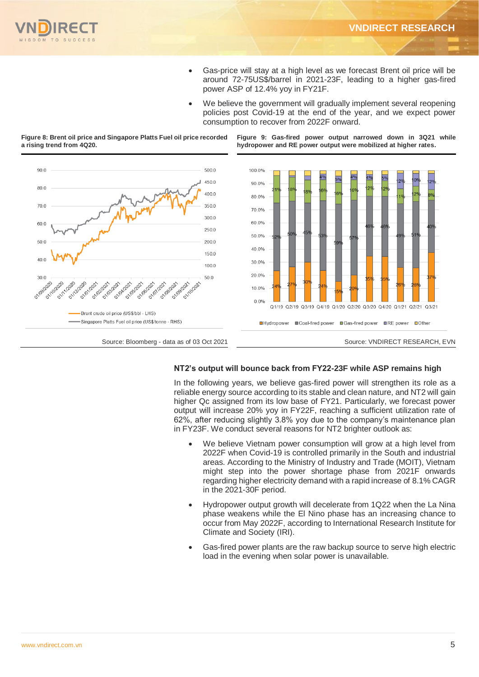

- Gas-price will stay at a high level as we forecast Brent oil price will be around 72-75US\$/barrel in 2021-23F, leading to a higher gas-fired power ASP of 12.4% yoy in FY21F.
- We believe the government will gradually implement several reopening policies post Covid-19 at the end of the year, and we expect power consumption to recover from 2022F onward.

**Figure 9: Gas-fired power output narrowed down in 3Q21 while hydropower and RE power output were mobilized at higher rates.** 



**Figure 8: Brent oil price and Singapore Platts Fuel oil price recorded a rising trend from 4Q20.**

# **NT2's output will bounce back from FY22-23F while ASP remains high**

In the following years, we believe gas-fired power will strengthen its role as a reliable energy source according to its stable and clean nature, and NT2 will gain higher Qc assigned from its low base of FY21. Particularly, we forecast power output will increase 20% yoy in FY22F, reaching a sufficient utilization rate of 62%, after reducing slightly 3.8% yoy due to the company's maintenance plan in FY23F. We conduct several reasons for NT2 brighter outlook as:

- We believe Vietnam power consumption will grow at a high level from 2022F when Covid-19 is controlled primarily in the South and industrial areas. According to the Ministry of Industry and Trade (MOIT), Vietnam might step into the power shortage phase from 2021F onwards regarding higher electricity demand with a rapid increase of 8.1% CAGR in the 2021-30F period.
- Hydropower output growth will decelerate from 1Q22 when the La Nina phase weakens while the El Nino phase has an increasing chance to occur from May 2022F, according to International Research Institute for Climate and Society (IRI).
- Gas-fired power plants are the raw backup source to serve high electric load in the evening when solar power is unavailable.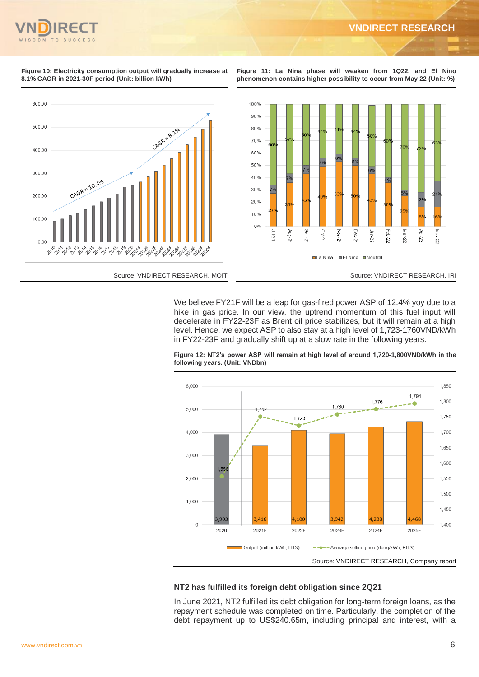#### **Figure 10: Electricity consumption output will gradually increase at 8.1% CAGR in 2021-30F period (Unit: billion kWh)**

**Figure 11: La Nina phase will weaken from 1Q22, and El Nino phenomenon contains higher possibility to occur from May 22 (Unit: %)**



We believe FY21F will be a leap for gas-fired power ASP of 12.4% yoy due to a hike in gas price. In our view, the uptrend momentum of this fuel input will decelerate in FY22-23F as Brent oil price stabilizes, but it will remain at a high level. Hence, we expect ASP to also stay at a high level of 1,723-1760VND/kWh in FY22-23F and gradually shift up at a slow rate in the following years.



**Figure 12: NT2's power ASP will remain at high level of around 1,720-1,800VND/kWh in the following years. (Unit: VNDbn)**

# **NT2 has fulfilled its foreign debt obligation since 2Q21**

In June 2021, NT2 fulfilled its debt obligation for long-term foreign loans, as the repayment schedule was completed on time. Particularly, the completion of the debt repayment up to US\$240.65m, including principal and interest, with a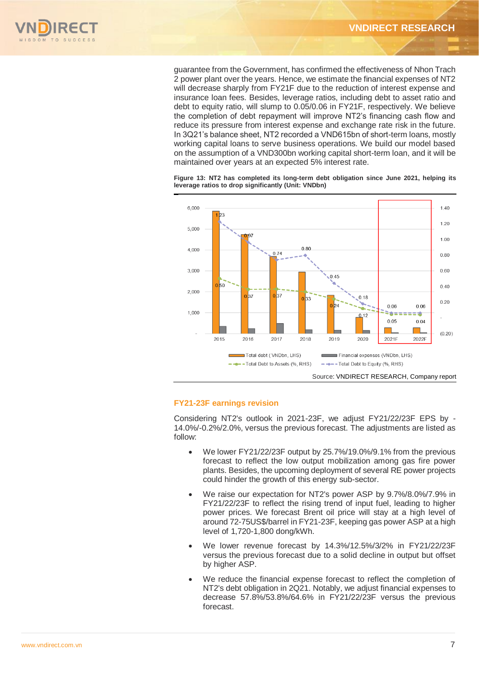

guarantee from the Government, has confirmed the effectiveness of Nhon Trach 2 power plant over the years. Hence, we estimate the financial expenses of NT2 will decrease sharply from FY21F due to the reduction of interest expense and insurance loan fees. Besides, leverage ratios, including debt to asset ratio and debt to equity ratio, will slump to 0.05/0.06 in FY21F, respectively. We believe the completion of debt repayment will improve NT2's financing cash flow and reduce its pressure from interest expense and exchange rate risk in the future. In 3Q21's balance sheet, NT2 recorded a VND615bn of short-term loans, mostly working capital loans to serve business operations. We build our model based on the assumption of a VND300bn working capital short-term loan, and it will be maintained over years at an expected 5% interest rate.

**Figure 13: NT2 has completed its long-term debt obligation since June 2021, helping its leverage ratios to drop significantly (Unit: VNDbn)**



# **FY21-23F earnings revision**

Considering NT2's outlook in 2021-23F, we adjust FY21/22/23F EPS by - 14.0%/-0.2%/2.0%, versus the previous forecast. The adjustments are listed as follow:

- We lower FY21/22/23F output by 25.7%/19.0%/9.1% from the previous forecast to reflect the low output mobilization among gas fire power plants. Besides, the upcoming deployment of several RE power projects could hinder the growth of this energy sub-sector.
- We raise our expectation for NT2's power ASP by 9.7%/8.0%/7.9% in FY21/22/23F to reflect the rising trend of input fuel, leading to higher power prices. We forecast Brent oil price will stay at a high level of around 72-75US\$/barrel in FY21-23F, keeping gas power ASP at a high level of 1,720-1,800 dong/kWh.
- We lower revenue forecast by 14.3%/12.5%/3/2% in FY21/22/23F versus the previous forecast due to a solid decline in output but offset by higher ASP.
- We reduce the financial expense forecast to reflect the completion of NT2's debt obligation in 2Q21. Notably, we adjust financial expenses to decrease 57.8%/53.8%/64.6% in FY21/22/23F versus the previous forecast.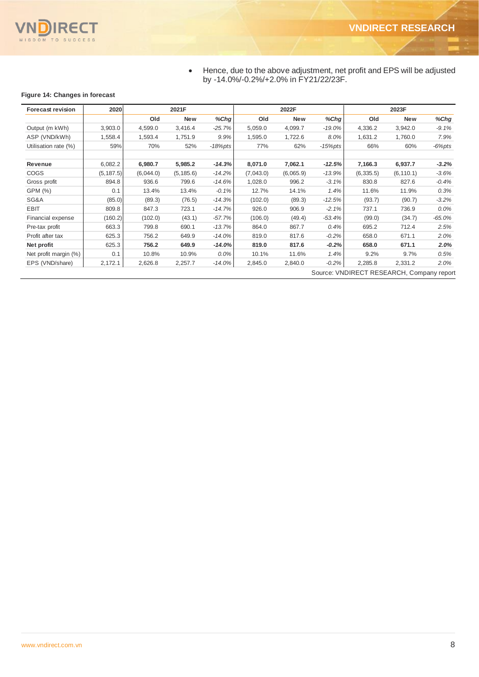

 Hence, due to the above adjustment, net profit and EPS will be adjusted by -14.0%/-0.2%/+2.0% in FY21/22/23F.

# **Figure 14: Changes in forecast**

| <b>Forecast revision</b>                  | 2020       | 2021F     |            |          | 2022F     |            |            | 2023F      |            |            |
|-------------------------------------------|------------|-----------|------------|----------|-----------|------------|------------|------------|------------|------------|
|                                           |            | Old       | <b>New</b> | $%$ Chg  | Old       | <b>New</b> | %Chg       | Old        | <b>New</b> | %Chg       |
| Output (m kWh)                            | 3,903.0    | 4,599.0   | 3,416.4    | $-25.7%$ | 5,059.0   | 4,099.7    | $-19.0%$   | 4,336.2    | 3,942.0    | $-9.1%$    |
| ASP (VND/kWh)                             | 1,558.4    | 1,593.4   | 1,751.9    | 9.9%     | 1,595.0   | 1,722.6    | 8.0%       | 1,631.2    | 1,760.0    | 7.9%       |
| Utilisation rate (%)                      | 59%        | 70%       | 52%        | -18%pts  | 77%       | 62%        | $-15%$ pts | 66%        | 60%        | $-6\%$ pts |
| Revenue                                   | 6,082.2    | 6,980.7   | 5,985.2    | $-14.3%$ | 8,071.0   | 7,062.1    | $-12.5%$   | 7,166.3    | 6,937.7    | $-3.2%$    |
| <b>COGS</b>                               | (5, 187.5) | (6,044.0) | (5, 185.6) | $-14.2%$ | (7,043.0) | (6,065.9)  | $-13.9%$   | (6, 335.5) | (6, 110.1) | $-3.6%$    |
| Gross profit                              | 894.8      | 936.6     | 799.6      | $-14.6%$ | 1,028.0   | 996.2      | $-3.1%$    | 830.8      | 827.6      | $-0.4%$    |
| GPM (%)                                   | 0.1        | 13.4%     | 13.4%      | $-0.1%$  | 12.7%     | 14.1%      | 1.4%       | 11.6%      | 11.9%      | 0.3%       |
| SG&A                                      | (85.0)     | (89.3)    | (76.5)     | $-14.3%$ | (102.0)   | (89.3)     | $-12.5%$   | (93.7)     | (90.7)     | $-3.2%$    |
| <b>EBIT</b>                               | 809.8      | 847.3     | 723.1      | $-14.7%$ | 926.0     | 906.9      | $-2.1%$    | 737.1      | 736.9      | $0.0\%$    |
| Financial expense                         | (160.2)    | (102.0)   | (43.1)     | $-57.7%$ | (106.0)   | (49.4)     | $-53.4%$   | (99.0)     | (34.7)     | $-65.0%$   |
| Pre-tax profit                            | 663.3      | 799.8     | 690.1      | $-13.7%$ | 864.0     | 867.7      | 0.4%       | 695.2      | 712.4      | 2.5%       |
| Profit after tax                          | 625.3      | 756.2     | 649.9      | $-14.0%$ | 819.0     | 817.6      | $-0.2%$    | 658.0      | 671.1      | 2.0%       |
| Net profit                                | 625.3      | 756.2     | 649.9      | $-14.0%$ | 819.0     | 817.6      | $-0.2%$    | 658.0      | 671.1      | 2.0%       |
| Net profit margin (%)                     | 0.1        | 10.8%     | 10.9%      | $0.0\%$  | 10.1%     | 11.6%      | 1.4%       | 9.2%       | 9.7%       | 0.5%       |
| EPS (VND/share)                           | 2,172.1    | 2,626.8   | 2,257.7    | -14.0%   | 2,845.0   | 2,840.0    | $-0.2\%$   | 2,285.8    | 2,331.2    | 2.0%       |
| Source: VNDIRECT RESEARCH, Company report |            |           |            |          |           |            |            |            |            |            |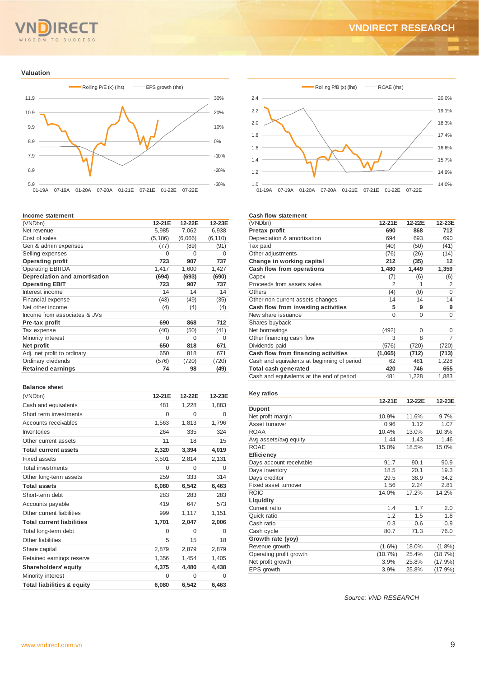#### $T<sub>O</sub>$ **SUCCESS** O M

# **VNDIRECT RESEARCH**

#### **Valuation**



#### **Income statement**

| (VNDbn)                       | 12-21E   | 12-22E   | 12-23E   |
|-------------------------------|----------|----------|----------|
| Net revenue                   | 5,985    | 7,062    | 6,938    |
| Cost of sales                 | (5, 186) | (6,066)  | (6, 110) |
| Gen & admin expenses          | (77)     | (89)     | (91)     |
| Selling expenses              | $\Omega$ | 0        | O        |
| <b>Operating profit</b>       | 723      | 907      | 737      |
| <b>Operating EBITDA</b>       | 1,417    | 1,600    | 1,427    |
| Depreciation and amortisation | (694)    | (693)    | (690)    |
| <b>Operating EBIT</b>         | 723      | 907      | 737      |
| Interest income               | 14       | 14       | 14       |
| <b>Financial expense</b>      | (43)     | (49)     | (35)     |
| Net other income              | (4)      | (4)      | (4)      |
| Income from associates & JVs  |          |          |          |
| Pre-tax profit                | 690      | 868      | 712      |
| Tax expense                   | (40)     | (50)     | (41)     |
| Minority interest             | $\Omega$ | $\Omega$ | O        |
| Net profit                    | 650      | 818      | 671      |
| Adj. net profit to ordinary   | 650      | 818      | 671      |
| Ordinary dividends            | (576)    | (720)    | (720)    |
| <b>Retained earnings</b>      | 74       | 98       | (49)     |

#### **Balance sheet**

| (VNDbn)                          | 12-21E   | 12-22E   | 12-23E   |
|----------------------------------|----------|----------|----------|
| Cash and equivalents             | 481      | 1,228    | 1,883    |
| Short term investments           | $\Omega$ | $\Omega$ | $\Omega$ |
| Accounts receivables             | 1,563    | 1,813    | 1,796    |
| Inventories                      | 264      | 335      | 324      |
| Other current assets             | 11       | 18       | 15       |
| <b>Total current assets</b>      | 2,320    | 3,394    | 4,019    |
| Fixed assets                     | 3,501    | 2,814    | 2,131    |
| <b>Total investments</b>         | $\Omega$ | $\Omega$ | $\Omega$ |
| Other long-term assets           | 259      | 333      | 314      |
| <b>Total assets</b>              | 6,080    | 6,542    | 6,463    |
| Short-term debt                  | 283      | 283      | 283      |
| Accounts payable                 | 419      | 647      | 573      |
| Other current liabilities        | 999      | 1,117    | 1,151    |
| <b>Total current liabilities</b> | 1,701    | 2,047    | 2,006    |
| Total long-term debt             | $\Omega$ | $\Omega$ | $\Omega$ |
| Other liabilities                | 5        | 15       | 18       |
| Share capital                    | 2,879    | 2,879    | 2,879    |
| Retained earnings reserve        | 1,356    | 1,454    | 1,405    |
| <b>Shareholders' equity</b>      | 4,375    | 4,480    | 4,438    |
| Minority interest                | $\Omega$ | $\Omega$ | $\Omega$ |
| Total liabilities & equity       | 6,080    | 6.542    | 6,463    |



#### **Cash flow statement**

| (VNDbn)                                     | 12-21E         | 12-22E   | 12-23E |
|---------------------------------------------|----------------|----------|--------|
| Pretax profit                               | 690            | 868      | 712    |
| Depreciation & amortisation                 | 694            | 693      | 690    |
| Tax paid                                    | (40)           | (50)     | (41)   |
| Other adjustments                           | (76)           | (26)     | (14)   |
| Change in working capital                   | 212            | (35)     | 12     |
| Cash flow from operations                   | 1,480          | 1,449    | 1,359  |
| Capex                                       | (7)            | (6)      | (6)    |
| Proceeds from assets sales                  | $\overline{2}$ | 1        | 2      |
| <b>Others</b>                               | (4)            | (0)      | 0      |
| Other non-current assets changes            | 14             | 14       | 14     |
| Cash flow from investing activities         | 5              | 9        | 9      |
| New share issuance                          | $\Omega$       | $\Omega$ | 0      |
| Shares buyback                              |                |          |        |
| Net borrowings                              | (492)          | 0        | 0      |
| Other financing cash flow                   | 3              | 8        | 7      |
| Dividends paid                              | (576)          | (720)    | (720)  |
| Cash flow from financing activities         | (1,065)        | (712)    | (713)  |
| Cash and equivalents at beginning of period | 62             | 481      | 1,228  |
| Total cash generated                        | 420            | 746      | 655    |
| Cash and equivalents at the end of period   | 481            | 1,228    | 1,883  |

#### **Key ratios**

|                         | 12-21E     | 12-22E | 12-23E     |
|-------------------------|------------|--------|------------|
| <b>Dupont</b>           |            |        |            |
| Net profit margin       | 10.9%      | 11.6%  | 9.7%       |
| Asset turnover          | 0.96       | 1.12   | 1.07       |
| <b>ROAA</b>             | 10.4%      | 13.0%  | 10.3%      |
| Avg assets/avg equity   | 1.44       | 1.43   | 1.46       |
| <b>ROAE</b>             | 15.0%      | 18.5%  | 15.0%      |
| Efficiency              |            |        |            |
| Days account receivable | 91.7       | 90.1   | 90.9       |
| Days inventory          | 18.5       | 20.1   | 19.3       |
| Days creditor           | 29.5       | 38.9   | 34.2       |
| Fixed asset turnover    | 1.56       | 2.24   | 2.81       |
| <b>ROIC</b>             | 14.0%      | 17.2%  | 14.2%      |
| Liquidity               |            |        |            |
| Current ratio           | 1.4        | 1.7    | 2.0        |
| Quick ratio             | 1.2        | 1.5    | 1.8        |
| Cash ratio              | 0.3        | 0.6    | 0.9        |
| Cash cycle              | 80.7       | 71.3   | 76.0       |
| Growth rate (yoy)       |            |        |            |
| Revenue growth          | $(1.6\%)$  | 18.0%  | $(1.8\%)$  |
| Operating profit growth | $(10.7\%)$ | 25.4%  | (18.7%)    |
| Net profit growth       | 3.9%       | 25.8%  | $(17.9\%)$ |
| EPS growth              | 3.9%       | 25.8%  | $(17.9\%)$ |

*Source: VND RESEARCH*